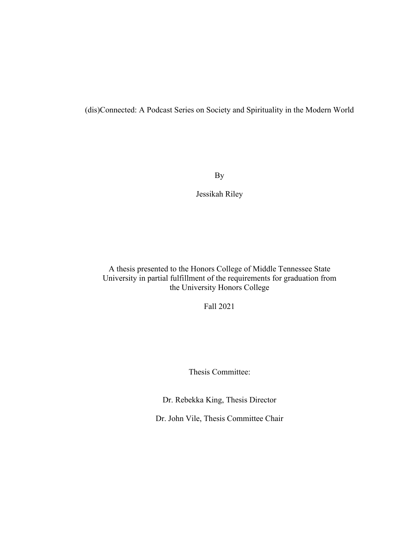(dis)Connected: A Podcast Series on Society and Spirituality in the Modern World

By

Jessikah Riley

A thesis presented to the Honors College of Middle Tennessee State University in partial fulfillment of the requirements for graduation from the University Honors College

Fall 2021

Thesis Committee:

Dr. Rebekka King, Thesis Director

Dr. John Vile, Thesis Committee Chair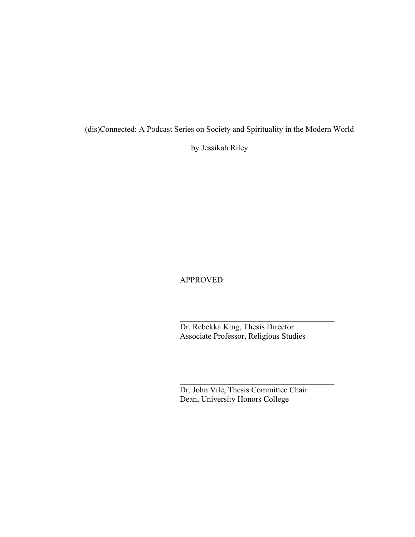(dis)Connected: A Podcast Series on Society and Spirituality in the Modern World

by Jessikah Riley

APPROVED:

Dr. Rebekka King, Thesis Director Associate Professor, Religious Studies

Dr. John Vile, Thesis Committee Chair Dean, University Honors College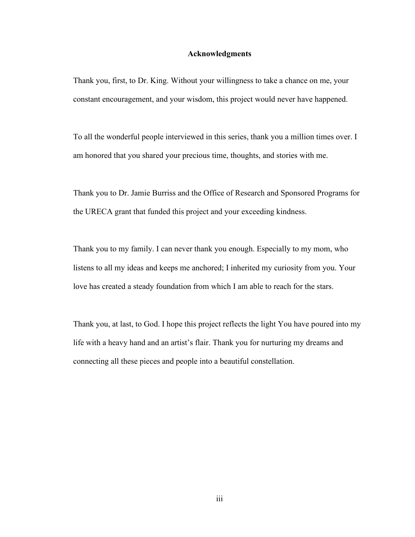#### **Acknowledgments**

Thank you, first, to Dr. King. Without your willingness to take a chance on me, your constant encouragement, and your wisdom, this project would never have happened.

To all the wonderful people interviewed in this series, thank you a million times over. I am honored that you shared your precious time, thoughts, and stories with me.

Thank you to Dr. Jamie Burriss and the Office of Research and Sponsored Programs for the URECA grant that funded this project and your exceeding kindness.

Thank you to my family. I can never thank you enough. Especially to my mom, who listens to all my ideas and keeps me anchored; I inherited my curiosity from you. Your love has created a steady foundation from which I am able to reach for the stars.

Thank you, at last, to God. I hope this project reflects the light You have poured into my life with a heavy hand and an artist's flair. Thank you for nurturing my dreams and connecting all these pieces and people into a beautiful constellation.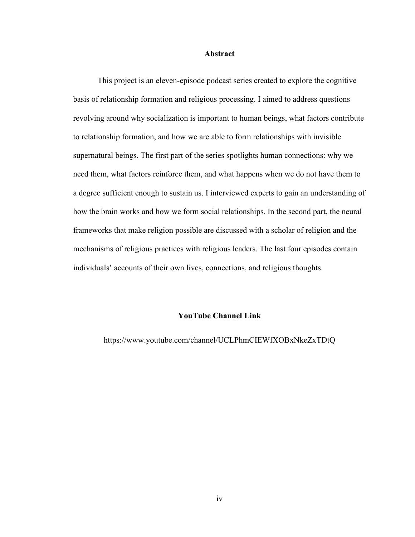#### **Abstract**

This project is an eleven-episode podcast series created to explore the cognitive basis of relationship formation and religious processing. I aimed to address questions revolving around why socialization is important to human beings, what factors contribute to relationship formation, and how we are able to form relationships with invisible supernatural beings. The first part of the series spotlights human connections: why we need them, what factors reinforce them, and what happens when we do not have them to a degree sufficient enough to sustain us. I interviewed experts to gain an understanding of how the brain works and how we form social relationships. In the second part, the neural frameworks that make religion possible are discussed with a scholar of religion and the mechanisms of religious practices with religious leaders. The last four episodes contain individuals' accounts of their own lives, connections, and religious thoughts.

# **YouTube Channel Link**

https://www.youtube.com/channel/UCLPhmCIEWfXOBxNkeZxTDtQ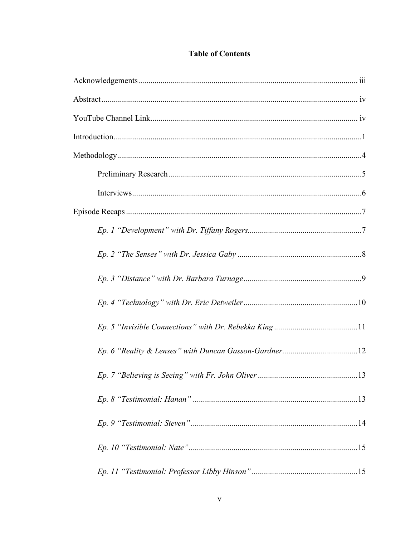# **Table of Contents**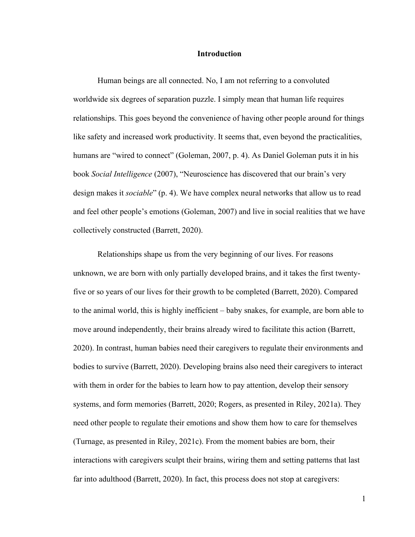#### **Introduction**

Human beings are all connected. No, I am not referring to a convoluted worldwide six degrees of separation puzzle. I simply mean that human life requires relationships. This goes beyond the convenience of having other people around for things like safety and increased work productivity. It seems that, even beyond the practicalities, humans are "wired to connect" (Goleman, 2007, p. 4). As Daniel Goleman puts it in his book *Social Intelligence* (2007), "Neuroscience has discovered that our brain's very design makes it *sociable*" (p. 4). We have complex neural networks that allow us to read and feel other people's emotions (Goleman, 2007) and live in social realities that we have collectively constructed (Barrett, 2020).

Relationships shape us from the very beginning of our lives. For reasons unknown, we are born with only partially developed brains, and it takes the first twentyfive or so years of our lives for their growth to be completed (Barrett, 2020). Compared to the animal world, this is highly inefficient – baby snakes, for example, are born able to move around independently, their brains already wired to facilitate this action (Barrett, 2020). In contrast, human babies need their caregivers to regulate their environments and bodies to survive (Barrett, 2020). Developing brains also need their caregivers to interact with them in order for the babies to learn how to pay attention, develop their sensory systems, and form memories (Barrett, 2020; Rogers, as presented in Riley, 2021a). They need other people to regulate their emotions and show them how to care for themselves (Turnage, as presented in Riley, 2021c). From the moment babies are born, their interactions with caregivers sculpt their brains, wiring them and setting patterns that last far into adulthood (Barrett, 2020). In fact, this process does not stop at caregivers:

1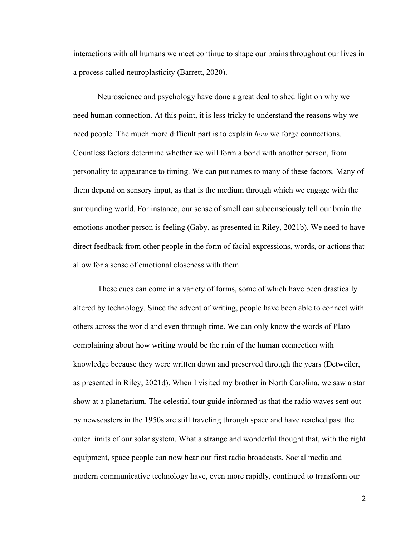interactions with all humans we meet continue to shape our brains throughout our lives in a process called neuroplasticity (Barrett, 2020).

Neuroscience and psychology have done a great deal to shed light on why we need human connection. At this point, it is less tricky to understand the reasons why we need people. The much more difficult part is to explain *how* we forge connections. Countless factors determine whether we will form a bond with another person, from personality to appearance to timing. We can put names to many of these factors. Many of them depend on sensory input, as that is the medium through which we engage with the surrounding world. For instance, our sense of smell can subconsciously tell our brain the emotions another person is feeling (Gaby, as presented in Riley, 2021b). We need to have direct feedback from other people in the form of facial expressions, words, or actions that allow for a sense of emotional closeness with them.

These cues can come in a variety of forms, some of which have been drastically altered by technology. Since the advent of writing, people have been able to connect with others across the world and even through time. We can only know the words of Plato complaining about how writing would be the ruin of the human connection with knowledge because they were written down and preserved through the years (Detweiler, as presented in Riley, 2021d). When I visited my brother in North Carolina, we saw a star show at a planetarium. The celestial tour guide informed us that the radio waves sent out by newscasters in the 1950s are still traveling through space and have reached past the outer limits of our solar system. What a strange and wonderful thought that, with the right equipment, space people can now hear our first radio broadcasts. Social media and modern communicative technology have, even more rapidly, continued to transform our

2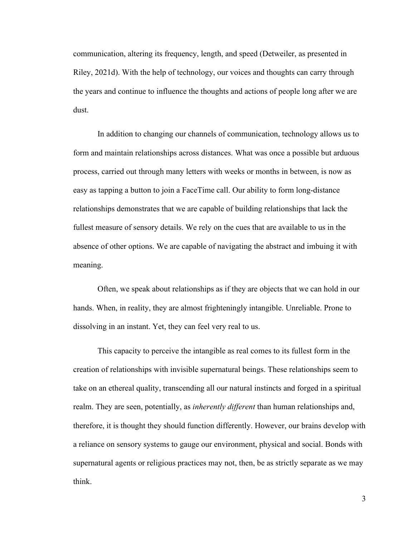communication, altering its frequency, length, and speed (Detweiler, as presented in Riley, 2021d). With the help of technology, our voices and thoughts can carry through the years and continue to influence the thoughts and actions of people long after we are dust.

In addition to changing our channels of communication, technology allows us to form and maintain relationships across distances. What was once a possible but arduous process, carried out through many letters with weeks or months in between, is now as easy as tapping a button to join a FaceTime call. Our ability to form long-distance relationships demonstrates that we are capable of building relationships that lack the fullest measure of sensory details. We rely on the cues that are available to us in the absence of other options. We are capable of navigating the abstract and imbuing it with meaning.

Often, we speak about relationships as if they are objects that we can hold in our hands. When, in reality, they are almost frighteningly intangible. Unreliable. Prone to dissolving in an instant. Yet, they can feel very real to us.

This capacity to perceive the intangible as real comes to its fullest form in the creation of relationships with invisible supernatural beings. These relationships seem to take on an ethereal quality, transcending all our natural instincts and forged in a spiritual realm. They are seen, potentially, as *inherently different* than human relationships and, therefore, it is thought they should function differently. However, our brains develop with a reliance on sensory systems to gauge our environment, physical and social. Bonds with supernatural agents or religious practices may not, then, be as strictly separate as we may think.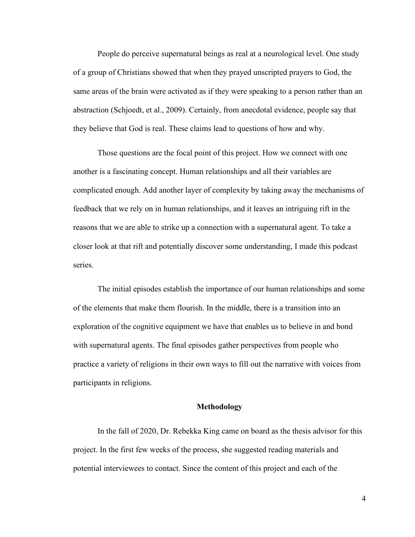People do perceive supernatural beings as real at a neurological level. One study of a group of Christians showed that when they prayed unscripted prayers to God, the same areas of the brain were activated as if they were speaking to a person rather than an abstraction (Schjoedt, et al., 2009). Certainly, from anecdotal evidence, people say that they believe that God is real. These claims lead to questions of how and why.

Those questions are the focal point of this project. How we connect with one another is a fascinating concept. Human relationships and all their variables are complicated enough. Add another layer of complexity by taking away the mechanisms of feedback that we rely on in human relationships, and it leaves an intriguing rift in the reasons that we are able to strike up a connection with a supernatural agent. To take a closer look at that rift and potentially discover some understanding, I made this podcast series.

The initial episodes establish the importance of our human relationships and some of the elements that make them flourish. In the middle, there is a transition into an exploration of the cognitive equipment we have that enables us to believe in and bond with supernatural agents. The final episodes gather perspectives from people who practice a variety of religions in their own ways to fill out the narrative with voices from participants in religions.

# **Methodology**

In the fall of 2020, Dr. Rebekka King came on board as the thesis advisor for this project. In the first few weeks of the process, she suggested reading materials and potential interviewees to contact. Since the content of this project and each of the

4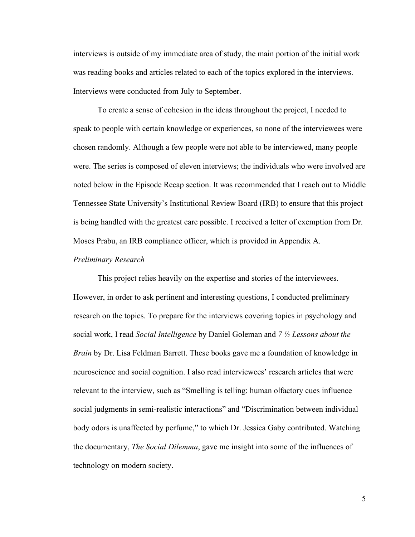interviews is outside of my immediate area of study, the main portion of the initial work was reading books and articles related to each of the topics explored in the interviews. Interviews were conducted from July to September.

To create a sense of cohesion in the ideas throughout the project, I needed to speak to people with certain knowledge or experiences, so none of the interviewees were chosen randomly. Although a few people were not able to be interviewed, many people were. The series is composed of eleven interviews; the individuals who were involved are noted below in the Episode Recap section. It was recommended that I reach out to Middle Tennessee State University's Institutional Review Board (IRB) to ensure that this project is being handled with the greatest care possible. I received a letter of exemption from Dr. Moses Prabu, an IRB compliance officer, which is provided in Appendix A.

#### *Preliminary Research*

This project relies heavily on the expertise and stories of the interviewees. However, in order to ask pertinent and interesting questions, I conducted preliminary research on the topics. To prepare for the interviews covering topics in psychology and social work, I read *Social Intelligence* by Daniel Goleman and *7 ½ Lessons about the Brain* by Dr. Lisa Feldman Barrett. These books gave me a foundation of knowledge in neuroscience and social cognition. I also read interviewees' research articles that were relevant to the interview, such as "Smelling is telling: human olfactory cues influence social judgments in semi-realistic interactions" and "Discrimination between individual body odors is unaffected by perfume," to which Dr. Jessica Gaby contributed. Watching the documentary, *The Social Dilemma*, gave me insight into some of the influences of technology on modern society.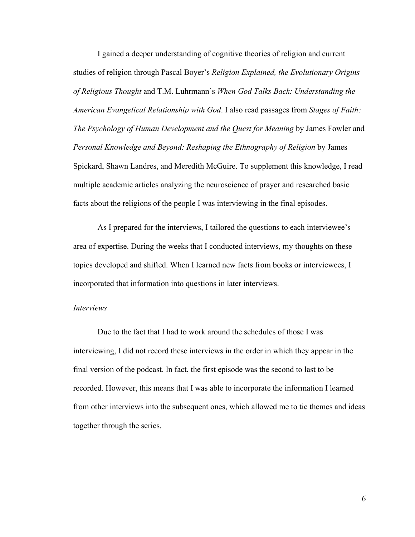I gained a deeper understanding of cognitive theories of religion and current studies of religion through Pascal Boyer's *Religion Explained, the Evolutionary Origins of Religious Thought* and T.M. Luhrmann's *When God Talks Back: Understanding the American Evangelical Relationship with God*. I also read passages from *Stages of Faith: The Psychology of Human Development and the Quest for Meaning* by James Fowler and *Personal Knowledge and Beyond: Reshaping the Ethnography of Religion* by James Spickard, Shawn Landres, and Meredith McGuire. To supplement this knowledge, I read multiple academic articles analyzing the neuroscience of prayer and researched basic facts about the religions of the people I was interviewing in the final episodes.

As I prepared for the interviews, I tailored the questions to each interviewee's area of expertise. During the weeks that I conducted interviews, my thoughts on these topics developed and shifted. When I learned new facts from books or interviewees, I incorporated that information into questions in later interviews.

#### *Interviews*

Due to the fact that I had to work around the schedules of those I was interviewing, I did not record these interviews in the order in which they appear in the final version of the podcast. In fact, the first episode was the second to last to be recorded. However, this means that I was able to incorporate the information I learned from other interviews into the subsequent ones, which allowed me to tie themes and ideas together through the series.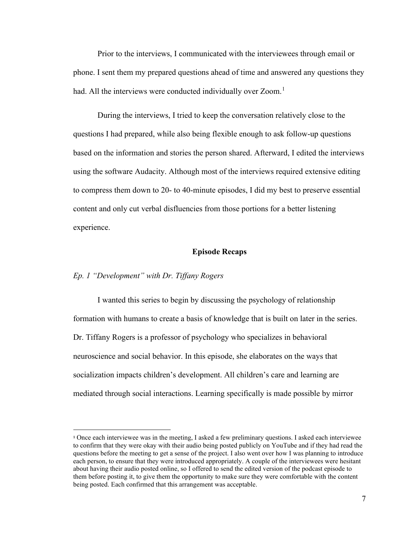Prior to the interviews, I communicated with the interviewees through email or phone. I sent them my prepared questions ahead of time and answered any questions they had. All the interviews were conducted individually over Zoom.<sup>[1](#page-12-0)</sup>

During the interviews, I tried to keep the conversation relatively close to the questions I had prepared, while also being flexible enough to ask follow-up questions based on the information and stories the person shared. Afterward, I edited the interviews using the software Audacity. Although most of the interviews required extensive editing to compress them down to 20- to 40-minute episodes, I did my best to preserve essential content and only cut verbal disfluencies from those portions for a better listening experience.

# **Episode Recaps**

### *Ep. 1 "Development" with Dr. Tiffany Rogers*

I wanted this series to begin by discussing the psychology of relationship formation with humans to create a basis of knowledge that is built on later in the series. Dr. Tiffany Rogers is a professor of psychology who specializes in behavioral neuroscience and social behavior. In this episode, she elaborates on the ways that socialization impacts children's development. All children's care and learning are mediated through social interactions. Learning specifically is made possible by mirror

<span id="page-12-0"></span><sup>1</sup> Once each interviewee was in the meeting, I asked a few preliminary questions. I asked each interviewee to confirm that they were okay with their audio being posted publicly on YouTube and if they had read the questions before the meeting to get a sense of the project. I also went over how I was planning to introduce each person, to ensure that they were introduced appropriately. A couple of the interviewees were hesitant about having their audio posted online, so I offered to send the edited version of the podcast episode to them before posting it, to give them the opportunity to make sure they were comfortable with the content being posted. Each confirmed that this arrangement was acceptable.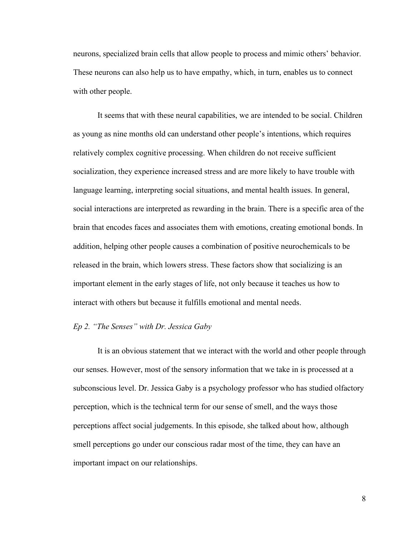neurons, specialized brain cells that allow people to process and mimic others' behavior. These neurons can also help us to have empathy, which, in turn, enables us to connect with other people.

It seems that with these neural capabilities, we are intended to be social. Children as young as nine months old can understand other people's intentions, which requires relatively complex cognitive processing. When children do not receive sufficient socialization, they experience increased stress and are more likely to have trouble with language learning, interpreting social situations, and mental health issues. In general, social interactions are interpreted as rewarding in the brain. There is a specific area of the brain that encodes faces and associates them with emotions, creating emotional bonds. In addition, helping other people causes a combination of positive neurochemicals to be released in the brain, which lowers stress. These factors show that socializing is an important element in the early stages of life, not only because it teaches us how to interact with others but because it fulfills emotional and mental needs.

#### *Ep 2. "The Senses" with Dr. Jessica Gaby*

It is an obvious statement that we interact with the world and other people through our senses. However, most of the sensory information that we take in is processed at a subconscious level. Dr. Jessica Gaby is a psychology professor who has studied olfactory perception, which is the technical term for our sense of smell, and the ways those perceptions affect social judgements. In this episode, she talked about how, although smell perceptions go under our conscious radar most of the time, they can have an important impact on our relationships.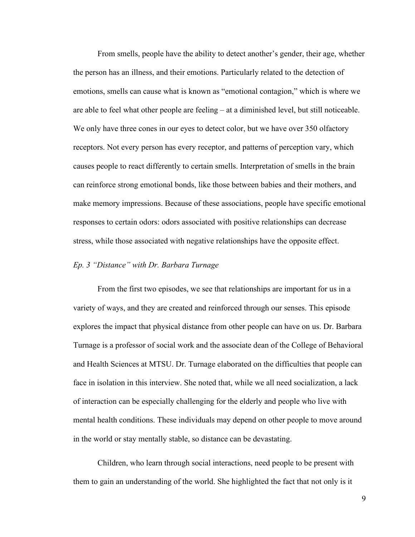From smells, people have the ability to detect another's gender, their age, whether the person has an illness, and their emotions. Particularly related to the detection of emotions, smells can cause what is known as "emotional contagion," which is where we are able to feel what other people are feeling – at a diminished level, but still noticeable. We only have three cones in our eyes to detect color, but we have over 350 olfactory receptors. Not every person has every receptor, and patterns of perception vary, which causes people to react differently to certain smells. Interpretation of smells in the brain can reinforce strong emotional bonds, like those between babies and their mothers, and make memory impressions. Because of these associations, people have specific emotional responses to certain odors: odors associated with positive relationships can decrease stress, while those associated with negative relationships have the opposite effect.

# *Ep. 3 "Distance" with Dr. Barbara Turnage*

From the first two episodes, we see that relationships are important for us in a variety of ways, and they are created and reinforced through our senses. This episode explores the impact that physical distance from other people can have on us. Dr. Barbara Turnage is a professor of social work and the associate dean of the College of Behavioral and Health Sciences at MTSU. Dr. Turnage elaborated on the difficulties that people can face in isolation in this interview. She noted that, while we all need socialization, a lack of interaction can be especially challenging for the elderly and people who live with mental health conditions. These individuals may depend on other people to move around in the world or stay mentally stable, so distance can be devastating.

Children, who learn through social interactions, need people to be present with them to gain an understanding of the world. She highlighted the fact that not only is it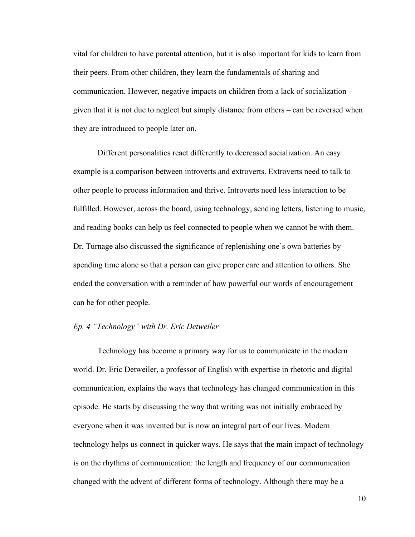vital for children to have parental attention, but it is also important for kids to learn from their peers. From other children, they learn the fundamentals of sharing and communication. However, negative impacts on children from a lack of socialization – given that it is not due to neglect but simply distance from others – can be reversed when they are introduced to people later on.

Different personalities react differently to decreased socialization. An easy example is a comparison between introverts and extroverts. Extroverts need to talk to other people to process information and thrive. Introverts need less interaction to be fulfilled. However, across the board, using technology, sending letters, listening to music, and reading books can help us feel connected to people when we cannot be with them. Dr. Turnage also discussed the significance of replenishing one's own batteries by spending time alone so that a person can give proper care and attention to others. She ended the conversation with a reminder of how powerful our words of encouragement can be for other people.

# *Ep. 4 "Technology" with Dr. Eric Detweiler*

Technology has become a primary way for us to communicate in the modern world. Dr. Eric Detweiler, a professor of English with expertise in rhetoric and digital communication, explains the ways that technology has changed communication in this episode. He starts by discussing the way that writing was not initially embraced by everyone when it was invented but is now an integral part of our lives. Modern technology helps us connect in quicker ways. He says that the main impact of technology is on the rhythms of communication: the length and frequency of our communication changed with the advent of different forms of technology. Although there may be a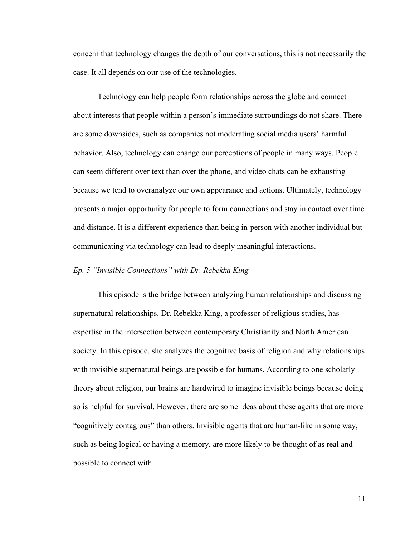concern that technology changes the depth of our conversations, this is not necessarily the case. It all depends on our use of the technologies.

Technology can help people form relationships across the globe and connect about interests that people within a person's immediate surroundings do not share. There are some downsides, such as companies not moderating social media users' harmful behavior. Also, technology can change our perceptions of people in many ways. People can seem different over text than over the phone, and video chats can be exhausting because we tend to overanalyze our own appearance and actions. Ultimately, technology presents a major opportunity for people to form connections and stay in contact over time and distance. It is a different experience than being in-person with another individual but communicating via technology can lead to deeply meaningful interactions.

#### *Ep. 5 "Invisible Connections" with Dr. Rebekka King*

This episode is the bridge between analyzing human relationships and discussing supernatural relationships. Dr. Rebekka King, a professor of religious studies, has expertise in the intersection between contemporary Christianity and North American society. In this episode, she analyzes the cognitive basis of religion and why relationships with invisible supernatural beings are possible for humans. According to one scholarly theory about religion, our brains are hardwired to imagine invisible beings because doing so is helpful for survival. However, there are some ideas about these agents that are more "cognitively contagious" than others. Invisible agents that are human-like in some way, such as being logical or having a memory, are more likely to be thought of as real and possible to connect with.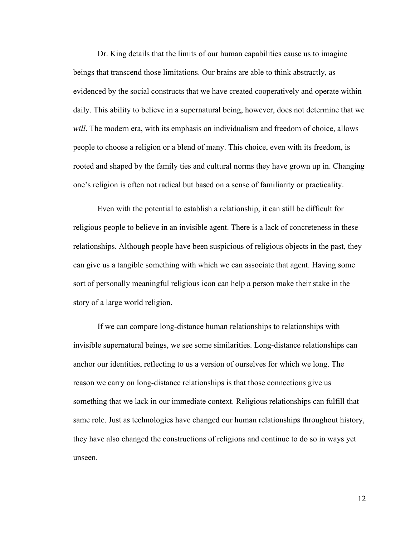Dr. King details that the limits of our human capabilities cause us to imagine beings that transcend those limitations. Our brains are able to think abstractly, as evidenced by the social constructs that we have created cooperatively and operate within daily. This ability to believe in a supernatural being, however, does not determine that we *will*. The modern era, with its emphasis on individualism and freedom of choice, allows people to choose a religion or a blend of many. This choice, even with its freedom, is rooted and shaped by the family ties and cultural norms they have grown up in. Changing one's religion is often not radical but based on a sense of familiarity or practicality.

Even with the potential to establish a relationship, it can still be difficult for religious people to believe in an invisible agent. There is a lack of concreteness in these relationships. Although people have been suspicious of religious objects in the past, they can give us a tangible something with which we can associate that agent. Having some sort of personally meaningful religious icon can help a person make their stake in the story of a large world religion.

If we can compare long-distance human relationships to relationships with invisible supernatural beings, we see some similarities. Long-distance relationships can anchor our identities, reflecting to us a version of ourselves for which we long. The reason we carry on long-distance relationships is that those connections give us something that we lack in our immediate context. Religious relationships can fulfill that same role. Just as technologies have changed our human relationships throughout history, they have also changed the constructions of religions and continue to do so in ways yet unseen.

12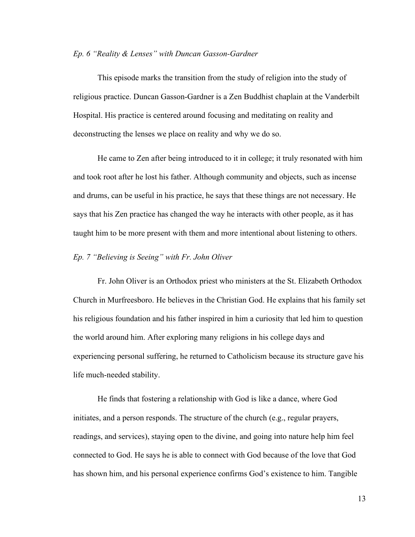#### *Ep. 6 "Reality & Lenses" with Duncan Gasson-Gardner*

This episode marks the transition from the study of religion into the study of religious practice. Duncan Gasson-Gardner is a Zen Buddhist chaplain at the Vanderbilt Hospital. His practice is centered around focusing and meditating on reality and deconstructing the lenses we place on reality and why we do so.

He came to Zen after being introduced to it in college; it truly resonated with him and took root after he lost his father. Although community and objects, such as incense and drums, can be useful in his practice, he says that these things are not necessary. He says that his Zen practice has changed the way he interacts with other people, as it has taught him to be more present with them and more intentional about listening to others.

#### *Ep. 7 "Believing is Seeing" with Fr. John Oliver*

Fr. John Oliver is an Orthodox priest who ministers at the St. Elizabeth Orthodox Church in Murfreesboro. He believes in the Christian God. He explains that his family set his religious foundation and his father inspired in him a curiosity that led him to question the world around him. After exploring many religions in his college days and experiencing personal suffering, he returned to Catholicism because its structure gave his life much-needed stability.

He finds that fostering a relationship with God is like a dance, where God initiates, and a person responds. The structure of the church (e.g., regular prayers, readings, and services), staying open to the divine, and going into nature help him feel connected to God. He says he is able to connect with God because of the love that God has shown him, and his personal experience confirms God's existence to him. Tangible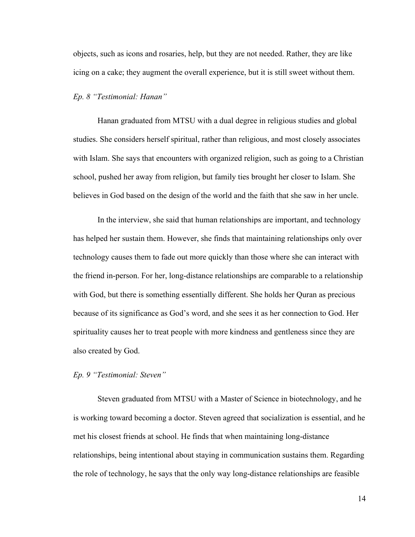objects, such as icons and rosaries, help, but they are not needed. Rather, they are like icing on a cake; they augment the overall experience, but it is still sweet without them.

# *Ep. 8 "Testimonial: Hanan"*

Hanan graduated from MTSU with a dual degree in religious studies and global studies. She considers herself spiritual, rather than religious, and most closely associates with Islam. She says that encounters with organized religion, such as going to a Christian school, pushed her away from religion, but family ties brought her closer to Islam. She believes in God based on the design of the world and the faith that she saw in her uncle.

In the interview, she said that human relationships are important, and technology has helped her sustain them. However, she finds that maintaining relationships only over technology causes them to fade out more quickly than those where she can interact with the friend in-person. For her, long-distance relationships are comparable to a relationship with God, but there is something essentially different. She holds her Quran as precious because of its significance as God's word, and she sees it as her connection to God. Her spirituality causes her to treat people with more kindness and gentleness since they are also created by God.

# *Ep. 9 "Testimonial: Steven"*

Steven graduated from MTSU with a Master of Science in biotechnology, and he is working toward becoming a doctor. Steven agreed that socialization is essential, and he met his closest friends at school. He finds that when maintaining long-distance relationships, being intentional about staying in communication sustains them. Regarding the role of technology, he says that the only way long-distance relationships are feasible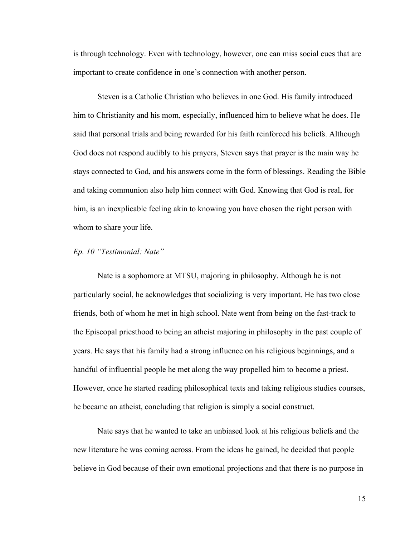is through technology. Even with technology, however, one can miss social cues that are important to create confidence in one's connection with another person.

Steven is a Catholic Christian who believes in one God. His family introduced him to Christianity and his mom, especially, influenced him to believe what he does. He said that personal trials and being rewarded for his faith reinforced his beliefs. Although God does not respond audibly to his prayers, Steven says that prayer is the main way he stays connected to God, and his answers come in the form of blessings. Reading the Bible and taking communion also help him connect with God. Knowing that God is real, for him, is an inexplicable feeling akin to knowing you have chosen the right person with whom to share your life.

# *Ep. 10 "Testimonial: Nate"*

Nate is a sophomore at MTSU, majoring in philosophy. Although he is not particularly social, he acknowledges that socializing is very important. He has two close friends, both of whom he met in high school. Nate went from being on the fast-track to the Episcopal priesthood to being an atheist majoring in philosophy in the past couple of years. He says that his family had a strong influence on his religious beginnings, and a handful of influential people he met along the way propelled him to become a priest. However, once he started reading philosophical texts and taking religious studies courses, he became an atheist, concluding that religion is simply a social construct.

Nate says that he wanted to take an unbiased look at his religious beliefs and the new literature he was coming across. From the ideas he gained, he decided that people believe in God because of their own emotional projections and that there is no purpose in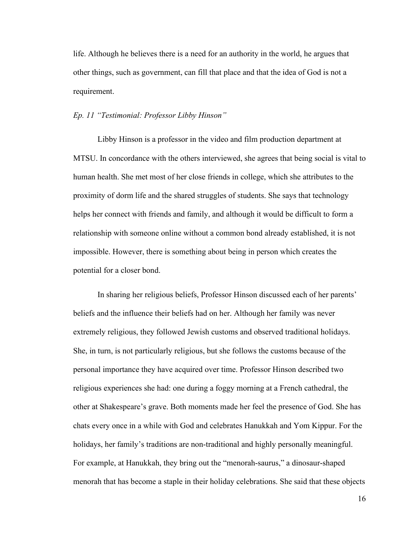life. Although he believes there is a need for an authority in the world, he argues that other things, such as government, can fill that place and that the idea of God is not a requirement.

#### *Ep. 11 "Testimonial: Professor Libby Hinson"*

Libby Hinson is a professor in the video and film production department at MTSU. In concordance with the others interviewed, she agrees that being social is vital to human health. She met most of her close friends in college, which she attributes to the proximity of dorm life and the shared struggles of students. She says that technology helps her connect with friends and family, and although it would be difficult to form a relationship with someone online without a common bond already established, it is not impossible. However, there is something about being in person which creates the potential for a closer bond.

In sharing her religious beliefs, Professor Hinson discussed each of her parents' beliefs and the influence their beliefs had on her. Although her family was never extremely religious, they followed Jewish customs and observed traditional holidays. She, in turn, is not particularly religious, but she follows the customs because of the personal importance they have acquired over time. Professor Hinson described two religious experiences she had: one during a foggy morning at a French cathedral, the other at Shakespeare's grave. Both moments made her feel the presence of God. She has chats every once in a while with God and celebrates Hanukkah and Yom Kippur. For the holidays, her family's traditions are non-traditional and highly personally meaningful. For example, at Hanukkah, they bring out the "menorah-saurus," a dinosaur-shaped menorah that has become a staple in their holiday celebrations. She said that these objects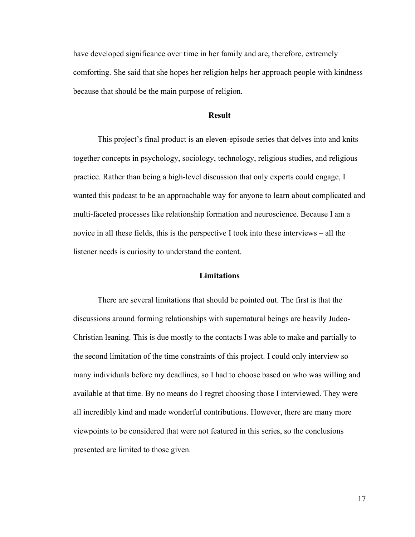have developed significance over time in her family and are, therefore, extremely comforting. She said that she hopes her religion helps her approach people with kindness because that should be the main purpose of religion.

### **Result**

This project's final product is an eleven-episode series that delves into and knits together concepts in psychology, sociology, technology, religious studies, and religious practice. Rather than being a high-level discussion that only experts could engage, I wanted this podcast to be an approachable way for anyone to learn about complicated and multi-faceted processes like relationship formation and neuroscience. Because I am a novice in all these fields, this is the perspective I took into these interviews – all the listener needs is curiosity to understand the content.

# **Limitations**

There are several limitations that should be pointed out. The first is that the discussions around forming relationships with supernatural beings are heavily Judeo-Christian leaning. This is due mostly to the contacts I was able to make and partially to the second limitation of the time constraints of this project. I could only interview so many individuals before my deadlines, so I had to choose based on who was willing and available at that time. By no means do I regret choosing those I interviewed. They were all incredibly kind and made wonderful contributions. However, there are many more viewpoints to be considered that were not featured in this series, so the conclusions presented are limited to those given.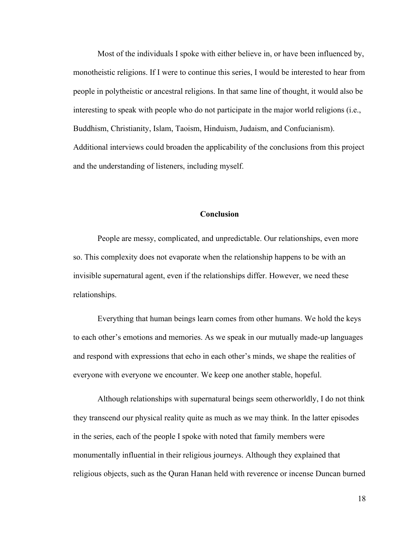Most of the individuals I spoke with either believe in, or have been influenced by, monotheistic religions. If I were to continue this series, I would be interested to hear from people in polytheistic or ancestral religions. In that same line of thought, it would also be interesting to speak with people who do not participate in the major world religions (i.e., Buddhism, Christianity, Islam, Taoism, Hinduism, Judaism, and Confucianism). Additional interviews could broaden the applicability of the conclusions from this project and the understanding of listeners, including myself.

### **Conclusion**

People are messy, complicated, and unpredictable. Our relationships, even more so. This complexity does not evaporate when the relationship happens to be with an invisible supernatural agent, even if the relationships differ. However, we need these relationships.

Everything that human beings learn comes from other humans. We hold the keys to each other's emotions and memories. As we speak in our mutually made-up languages and respond with expressions that echo in each other's minds, we shape the realities of everyone with everyone we encounter. We keep one another stable, hopeful.

Although relationships with supernatural beings seem otherworldly, I do not think they transcend our physical reality quite as much as we may think. In the latter episodes in the series, each of the people I spoke with noted that family members were monumentally influential in their religious journeys. Although they explained that religious objects, such as the Quran Hanan held with reverence or incense Duncan burned

18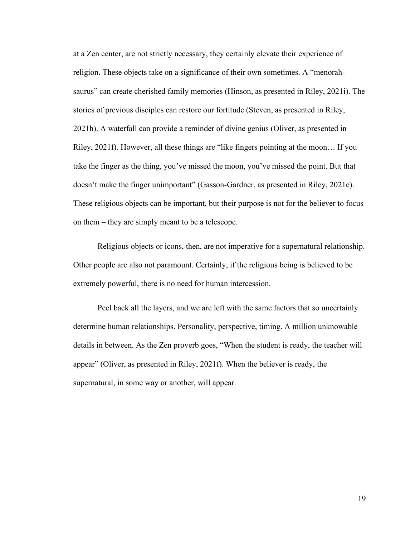at a Zen center, are not strictly necessary, they certainly elevate their experience of religion. These objects take on a significance of their own sometimes. A "menorahsaurus" can create cherished family memories (Hinson, as presented in Riley, 2021i). The stories of previous disciples can restore our fortitude (Steven, as presented in Riley, 2021h). A waterfall can provide a reminder of divine genius (Oliver, as presented in Riley, 2021f). However, all these things are "like fingers pointing at the moon… If you take the finger as the thing, you've missed the moon, you've missed the point. But that doesn't make the finger unimportant" (Gasson-Gardner, as presented in Riley, 2021e). These religious objects can be important, but their purpose is not for the believer to focus on them – they are simply meant to be a telescope.

Religious objects or icons, then, are not imperative for a supernatural relationship. Other people are also not paramount. Certainly, if the religious being is believed to be extremely powerful, there is no need for human intercession.

Peel back all the layers, and we are left with the same factors that so uncertainly determine human relationships. Personality, perspective, timing. A million unknowable details in between. As the Zen proverb goes, "When the student is ready, the teacher will appear" (Oliver, as presented in Riley, 2021f). When the believer is ready, the supernatural, in some way or another, will appear.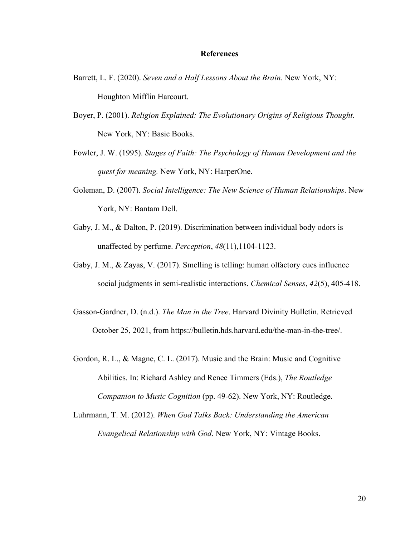#### **References**

- Barrett, L. F. (2020). *Seven and a Half Lessons About the Brain*. New York, NY: Houghton Mifflin Harcourt.
- Boyer, P. (2001). *Religion Explained: The Evolutionary Origins of Religious Thought*. New York, NY: Basic Books.
- Fowler, J. W. (1995). *Stages of Faith: The Psychology of Human Development and the quest for meaning.* New York, NY: HarperOne.
- Goleman, D. (2007). *Social Intelligence: The New Science of Human Relationships*. New York, NY: Bantam Dell.
- Gaby, J. M., & Dalton, P. (2019). Discrimination between individual body odors is unaffected by perfume. *Perception*, *48*(11),1104-1123.
- Gaby, J. M., & Zayas, V. (2017). Smelling is telling: human olfactory cues influence social judgments in semi-realistic interactions. *Chemical Senses*, *42*(5), 405-418.
- Gasson-Gardner, D. (n.d.). *The Man in the Tree*. Harvard Divinity Bulletin. Retrieved October 25, 2021, from https://bulletin.hds.harvard.edu/the-man-in-the-tree/.
- Gordon, R. L., & Magne, C. L. (2017). Music and the Brain: Music and Cognitive Abilities. In: Richard Ashley and Renee Timmers (Eds.), *The Routledge Companion to Music Cognition* (pp. 49-62). New York, NY: Routledge.
- Luhrmann, T. M. (2012). *When God Talks Back: Understanding the American Evangelical Relationship with God*. New York, NY: Vintage Books.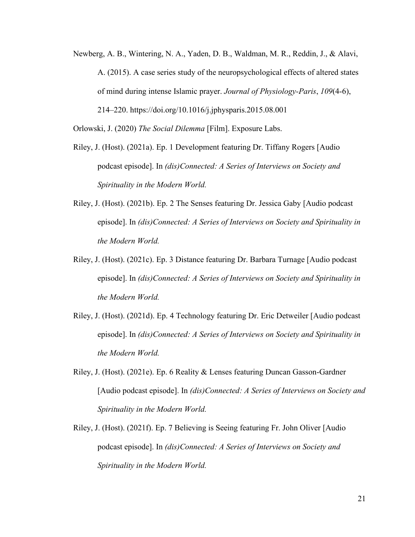Newberg, A. B., Wintering, N. A., Yaden, D. B., Waldman, M. R., Reddin, J., & Alavi, A. (2015). A case series study of the neuropsychological effects of altered states of mind during intense Islamic prayer. *Journal of Physiology-Paris*, *109*(4-6), 214–220. https://doi.org/10.1016/j.jphysparis.2015.08.001

Orlowski, J. (2020) *The Social Dilemma* [Film]. Exposure Labs.

- Riley, J. (Host). (2021a). Ep. 1 Development featuring Dr. Tiffany Rogers [Audio podcast episode]. In *(dis)Connected: A Series of Interviews on Society and Spirituality in the Modern World.*
- Riley, J. (Host). (2021b). Ep. 2 The Senses featuring Dr. Jessica Gaby [Audio podcast episode]. In *(dis)Connected: A Series of Interviews on Society and Spirituality in the Modern World.*
- Riley, J. (Host). (2021c). Ep. 3 Distance featuring Dr. Barbara Turnage [Audio podcast episode]. In *(dis)Connected: A Series of Interviews on Society and Spirituality in the Modern World.*
- Riley, J. (Host). (2021d). Ep. 4 Technology featuring Dr. Eric Detweiler [Audio podcast episode]. In *(dis)Connected: A Series of Interviews on Society and Spirituality in the Modern World.*
- Riley, J. (Host). (2021e). Ep. 6 Reality & Lenses featuring Duncan Gasson-Gardner [Audio podcast episode]. In *(dis)Connected: A Series of Interviews on Society and Spirituality in the Modern World.*
- Riley, J. (Host). (2021f). Ep. 7 Believing is Seeing featuring Fr. John Oliver [Audio podcast episode]. In *(dis)Connected: A Series of Interviews on Society and Spirituality in the Modern World.*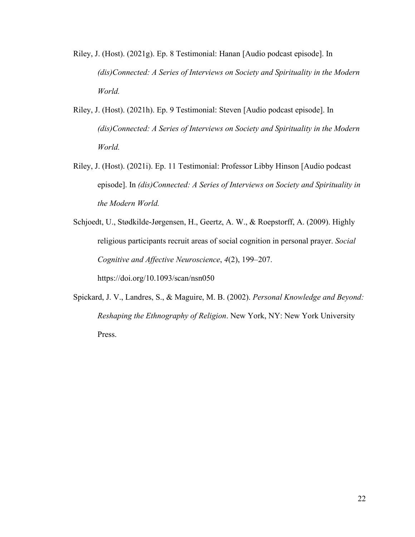- Riley, J. (Host). (2021g). Ep. 8 Testimonial: Hanan [Audio podcast episode]. In *(dis)Connected: A Series of Interviews on Society and Spirituality in the Modern World.*
- Riley, J. (Host). (2021h). Ep. 9 Testimonial: Steven [Audio podcast episode]. In *(dis)Connected: A Series of Interviews on Society and Spirituality in the Modern World.*
- Riley, J. (Host). (2021i). Ep. 11 Testimonial: Professor Libby Hinson [Audio podcast episode]. In *(dis)Connected: A Series of Interviews on Society and Spirituality in the Modern World.*
- Schjoedt, U., Stødkilde-Jørgensen, H., Geertz, A. W., & Roepstorff, A. (2009). Highly religious participants recruit areas of social cognition in personal prayer. *Social Cognitive and Affective Neuroscience*, *4*(2), 199–207. https://doi.org/10.1093/scan/nsn050
- Spickard, J. V., Landres, S., & Maguire, M. B. (2002). *Personal Knowledge and Beyond: Reshaping the Ethnography of Religion*. New York, NY: New York University Press.